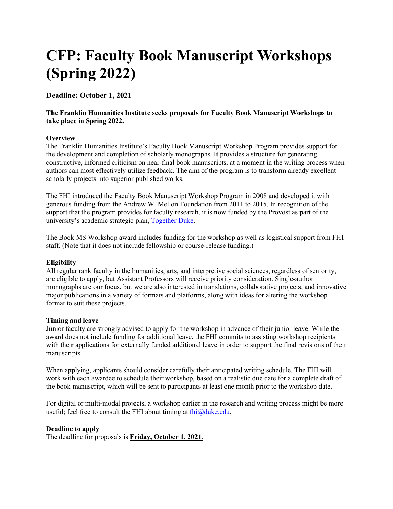# **CFP: Faculty Book Manuscript Workshops (Spring 2022)**

**Deadline: October 1, 2021**

# **The Franklin Humanities Institute seeks proposals for Faculty Book Manuscript Workshops to take place in Spring 2022.**

## **Overview**

The Franklin Humanities Institute's Faculty Book Manuscript Workshop Program provides support for the development and completion of scholarly monographs. It provides a structure for generating constructive, informed criticism on near-final book manuscripts, at a moment in the writing process when authors can most effectively utilize feedback. The aim of the program is to transform already excellent scholarly projects into superior published works.

The FHI introduced the Faculty Book Manuscript Workshop Program in 2008 and developed it with generous funding from the Andrew W. Mellon Foundation from 2011 to 2015. In recognition of the support that the program provides for faculty research, it is now funded by the Provost as part of the university's academic strategic plan, Together Duke.

The Book MS Workshop award includes funding for the workshop as well as logistical support from FHI staff. (Note that it does not include fellowship or course-release funding.)

#### **Eligibility**

All regular rank faculty in the humanities, arts, and interpretive social sciences, regardless of seniority, are eligible to apply, but Assistant Professors will receive priority consideration. Single-author monographs are our focus, but we are also interested in translations, collaborative projects, and innovative major publications in a variety of formats and platforms, along with ideas for altering the workshop format to suit these projects.

#### **Timing and leave**

Junior faculty are strongly advised to apply for the workshop in advance of their junior leave. While the award does not include funding for additional leave, the FHI commits to assisting workshop recipients with their applications for externally funded additional leave in order to support the final revisions of their manuscripts.

When applying, applicants should consider carefully their anticipated writing schedule. The FHI will work with each awardee to schedule their workshop, based on a realistic due date for a complete draft of the book manuscript, which will be sent to participants at least one month prior to the workshop date.

For digital or multi-modal projects, a workshop earlier in the research and writing process might be more useful; feel free to consult the FHI about timing at  $fhi@duke.edu$ .

## **Deadline to apply**

The deadline for proposals is **Friday, October 1, 2021**.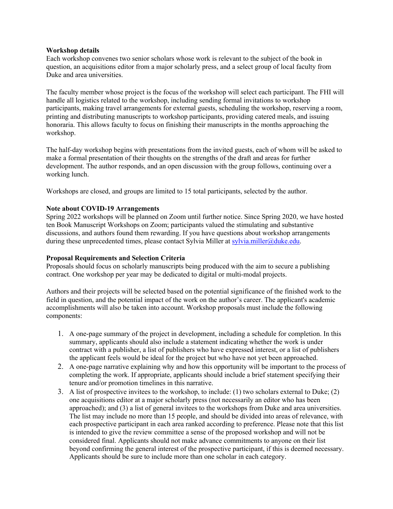#### **Workshop details**

Each workshop convenes two senior scholars whose work is relevant to the subject of the book in question, an acquisitions editor from a major scholarly press, and a select group of local faculty from Duke and area universities.

The faculty member whose project is the focus of the workshop will select each participant. The FHI will handle all logistics related to the workshop, including sending formal invitations to workshop participants, making travel arrangements for external guests, scheduling the workshop, reserving a room, printing and distributing manuscripts to workshop participants, providing catered meals, and issuing honoraria. This allows faculty to focus on finishing their manuscripts in the months approaching the workshop.

The half-day workshop begins with presentations from the invited guests, each of whom will be asked to make a formal presentation of their thoughts on the strengths of the draft and areas for further development. The author responds, and an open discussion with the group follows, continuing over a working lunch.

Workshops are closed, and groups are limited to 15 total participants, selected by the author.

#### **Note about COVID-19 Arrangements**

Spring 2022 workshops will be planned on Zoom until further notice. Since Spring 2020, we have hosted ten Book Manuscript Workshops on Zoom; participants valued the stimulating and substantive discussions, and authors found them rewarding. If you have questions about workshop arrangements during these unprecedented times, please contact Sylvia Miller at sylvia.miller@duke.edu.

#### **Proposal Requirements and Selection Criteria**

Proposals should focus on scholarly manuscripts being produced with the aim to secure a publishing contract. One workshop per year may be dedicated to digital or multi-modal projects.

Authors and their projects will be selected based on the potential significance of the finished work to the field in question, and the potential impact of the work on the author's career. The applicant's academic accomplishments will also be taken into account. Workshop proposals must include the following components:

- 1. A one-page summary of the project in development, including a schedule for completion. In this summary, applicants should also include a statement indicating whether the work is under contract with a publisher, a list of publishers who have expressed interest, or a list of publishers the applicant feels would be ideal for the project but who have not yet been approached.
- 2. A one-page narrative explaining why and how this opportunity will be important to the process of completing the work. If appropriate, applicants should include a brief statement specifying their tenure and/or promotion timelines in this narrative.
- 3. A list of prospective invitees to the workshop, to include: (1) two scholars external to Duke; (2) one acquisitions editor at a major scholarly press (not necessarily an editor who has been approached); and (3) a list of general invitees to the workshops from Duke and area universities. The list may include no more than 15 people, and should be divided into areas of relevance, with each prospective participant in each area ranked according to preference. Please note that this list is intended to give the review committee a sense of the proposed workshop and will not be considered final. Applicants should not make advance commitments to anyone on their list beyond confirming the general interest of the prospective participant, if this is deemed necessary. Applicants should be sure to include more than one scholar in each category.